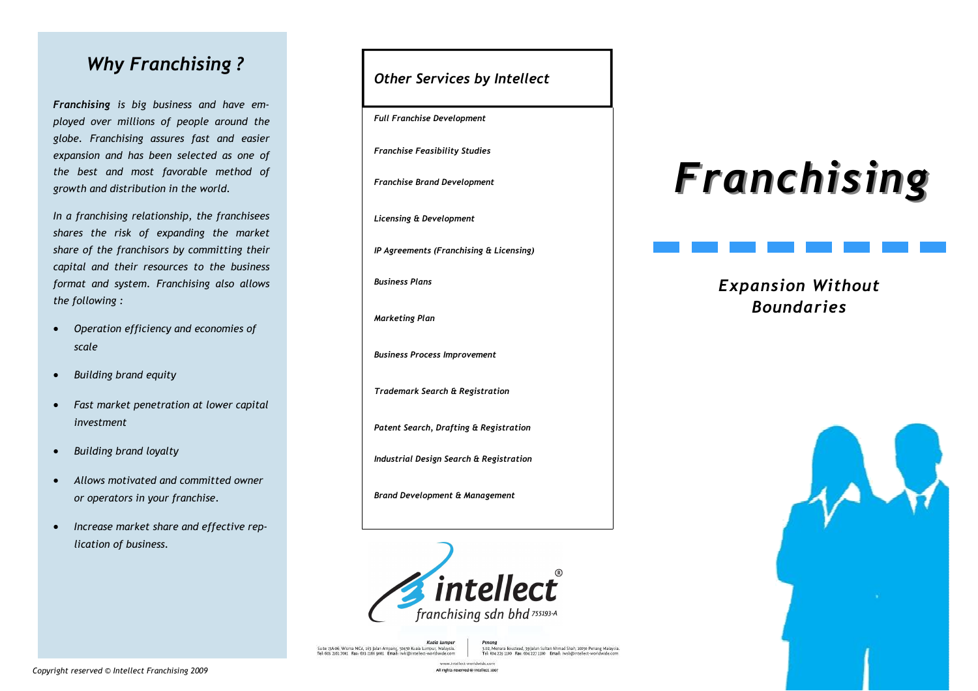#### Why Franchising ?

Franchising is big business and have employed over millions of people around the globe. Franchising assures fast and easier expansion and has been selected as one of the best and most favorable method of growth and distribution in the world.

In a franchising relationship, the franchisees shares the risk of expanding the market share of the franchisors by committing their capital and their resources to the business format and system. Franchising also allows the following :

- Operation efficiency and economies of scale
- Building brand equity
- Fast market penetration at lower capital investment
- Building brand loyalty
- Allows motivated and committed owner or operators in your franchise.
- Increase market share and effective replication of business.

Other Services by Intellect

Full Franchise Development

Franchise Feasibility Studies

Franchise Brand Development

Licensing & Development

IP Agreements (Franchising & Licensing)

Business Plans

Marketing Plan

Business Process Improvement

Trademark Search & Registration

Patent Search, Drafting & Registration

Industrial Design Search & Registration

Brand Development & Management



www.intellect.worldwide.com All rights reserved @ intellect 200

Kuala Lumpu Suite 134-06, Wisma MCA, 163 Jalan Ampang, 50450 Kuala Lumpur, Malaysia.<br>Tel-003 2101 2001 Fax: 603 2106 9001 Email: iwki@intellect-worldwide.com

renang<br>3.02, Menara Boustead, 39 Jalan Sultan Ahmad Shah, 10050 Penang Malaysia<br>3.04, Nov 220, 1000 - Emil 020, 222, 229, - Emil 1, Sank Warendort and Andrea Tel: 654 326 1100 Fax: 654 222 1100 Frenil; issued

# Franchising

## Expansion Without Boundaries